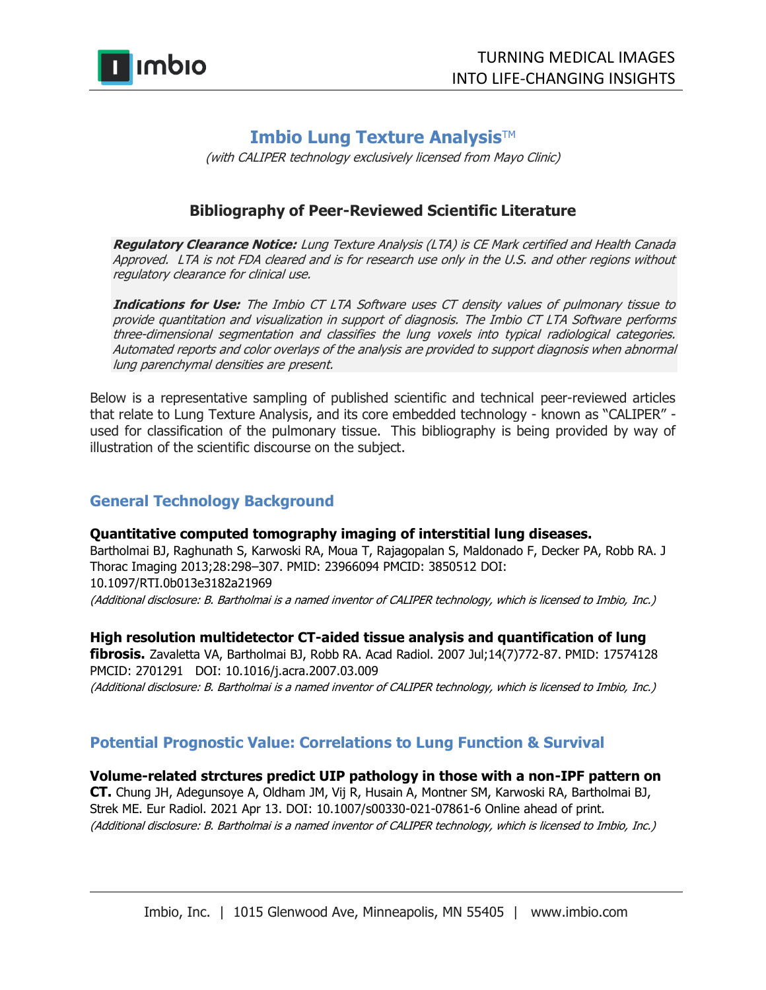

# **Imbio Lung Texture Analysis™**

(with CALIPER technology exclusively licensed from Mayo Clinic)

## **Bibliography of Peer-Reviewed Scientific Literature**

**Regulatory Clearance Notice:** Lung Texture Analysis (LTA) is CE Mark certified and Health Canada Approved. LTA is not FDA cleared and is for research use only in the U.S. and other regions without regulatory clearance for clinical use.

**Indications for Use:** The Imbio CT LTA Software uses CT density values of pulmonary tissue to provide quantitation and visualization in support of diagnosis. The Imbio CT LTA Software performs three-dimensional segmentation and classifies the lung voxels into typical radiological categories. Automated reports and color overlays of the analysis are provided to support diagnosis when abnormal lung parenchymal densities are present.

Below is a representative sampling of published scientific and technical peer-reviewed articles that relate to Lung Texture Analysis, and its core embedded technology - known as "CALIPER" used for classification of the pulmonary tissue. This bibliography is being provided by way of illustration of the scientific discourse on the subject.

## **General Technology Background**

## **Quantitative computed tomography imaging of interstitial lung diseases.**

Bartholmai BJ, Raghunath S, Karwoski RA, Moua T, Rajagopalan S, Maldonado F, Decker PA, Robb RA. J Thorac Imaging 2013;28:298–307. PMID: 23966094 PMCID: 3850512 DOI: 10.1097/RTI.0b013e3182a21969 (Additional disclosure: B. Bartholmai is a named inventor of CALIPER technology, which is licensed to Imbio, Inc.)

## **High resolution multidetector CT-aided tissue analysis and quantification of lung**

**fibrosis.** Zavaletta VA, Bartholmai BJ, Robb RA. Acad Radiol. 2007 Jul;14(7)772-87. PMID: 17574128 PMCID: 2701291 DOI: 10.1016/j.acra.2007.03.009 (Additional disclosure: B. Bartholmai is a named inventor of CALIPER technology, which is licensed to Imbio, Inc.)

## **Potential Prognostic Value: Correlations to Lung Function & Survival**

## **Volume-related strctures predict UIP pathology in those with a non-IPF pattern on**

**CT.** Chung JH, Adegunsoye A, Oldham JM, Vij R, Husain A, Montner SM, Karwoski RA, Bartholmai BJ, Strek ME. Eur Radiol. 2021 Apr 13. DOI: 10.1007/s00330-021-07861-6 Online ahead of print. (Additional disclosure: B. Bartholmai is a named inventor of CALIPER technology, which is licensed to Imbio, Inc.)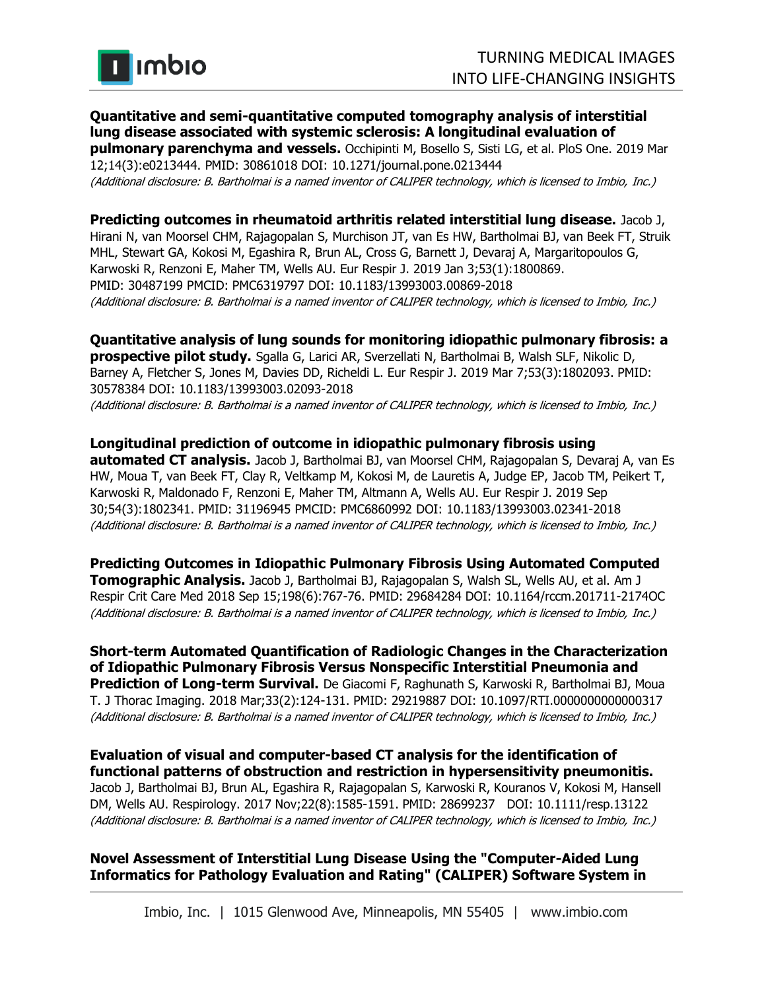

## **Quantitative and semi-quantitative computed tomography analysis of interstitial lung disease associated with systemic sclerosis: A longitudinal evaluation of**

**pulmonary parenchyma and vessels.** Occhipinti M, Bosello S, Sisti LG, et al. PloS One. 2019 Mar 12;14(3):e0213444. PMID: 30861018 DOI: 10.1271/journal.pone.0213444 (Additional disclosure: B. Bartholmai is a named inventor of CALIPER technology, which is licensed to Imbio, Inc.)

**Predicting outcomes in rheumatoid arthritis related interstitial lung disease.** Jacob J, Hirani N, van Moorsel CHM, Rajagopalan S, Murchison JT, van Es HW, Bartholmai BJ, van Beek FT, Struik MHL, Stewart GA, Kokosi M, Egashira R, Brun AL, Cross G, Barnett J, Devaraj A, Margaritopoulos G, Karwoski R, Renzoni E, Maher TM, Wells AU. Eur Respir J. 2019 Jan 3;53(1):1800869. PMID: 30487199 PMCID: PMC6319797 DOI: 10.1183/13993003.00869-2018 (Additional disclosure: B. Bartholmai is a named inventor of CALIPER technology, which is licensed to Imbio, Inc.)

**Quantitative analysis of lung sounds for monitoring idiopathic pulmonary fibrosis: a prospective pilot study.** Sgalla G, Larici AR, Sverzellati N, Bartholmai B, Walsh SLF, Nikolic D, Barney A, Fletcher S, Jones M, Davies DD, Richeldi L. Eur Respir J. 2019 Mar 7;53(3):1802093. PMID: 30578384 DOI: 10.1183/13993003.02093-2018 (Additional disclosure: B. Bartholmai is a named inventor of CALIPER technology, which is licensed to Imbio, Inc.)

**Longitudinal prediction of outcome in idiopathic pulmonary fibrosis using automated CT analysis.** Jacob J, Bartholmai BJ, van Moorsel CHM, Rajagopalan S, Devaraj A, van Es HW, Moua T, van Beek FT, Clay R, Veltkamp M, Kokosi M, de Lauretis A, Judge EP, Jacob TM, Peikert T, Karwoski R, Maldonado F, Renzoni E, Maher TM, Altmann A, Wells AU. Eur Respir J. 2019 Sep 30;54(3):1802341. PMID: 31196945 PMCID: PMC6860992 DOI: 10.1183/13993003.02341-2018 (Additional disclosure: B. Bartholmai is a named inventor of CALIPER technology, which is licensed to Imbio, Inc.)

**Predicting Outcomes in Idiopathic Pulmonary Fibrosis Using Automated Computed Tomographic Analysis.** Jacob J, Bartholmai BJ, Rajagopalan S, Walsh SL, Wells AU, et al. Am J Respir Crit Care Med 2018 Sep 15;198(6):767-76. PMID: 29684284 DOI: 10.1164/rccm.201711-2174OC (Additional disclosure: B. Bartholmai is a named inventor of CALIPER technology, which is licensed to Imbio, Inc.)

**Short-term Automated Quantification of Radiologic Changes in the Characterization of Idiopathic Pulmonary Fibrosis Versus Nonspecific Interstitial Pneumonia and Prediction of Long-term Survival.** De Giacomi F, Raghunath S, Karwoski R, Bartholmai BJ, Moua T. J Thorac Imaging. 2018 Mar;33(2):124-131. PMID: 29219887 DOI: 10.1097/RTI.0000000000000317 (Additional disclosure: B. Bartholmai is a named inventor of CALIPER technology, which is licensed to Imbio, Inc.)

**Evaluation of visual and computer-based CT analysis for the identification of functional patterns of obstruction and restriction in hypersensitivity pneumonitis.** Jacob J, Bartholmai BJ, Brun AL, Egashira R, Rajagopalan S, Karwoski R, Kouranos V, Kokosi M, Hansell DM, Wells AU. Respirology. 2017 Nov;22(8):1585-1591. PMID: 28699237 DOI: 10.1111/resp.13122 (Additional disclosure: B. Bartholmai is a named inventor of CALIPER technology, which is licensed to Imbio, Inc.)

## **Novel Assessment of Interstitial Lung Disease Using the "Computer-Aided Lung Informatics for Pathology Evaluation and Rating" (CALIPER) Software System in**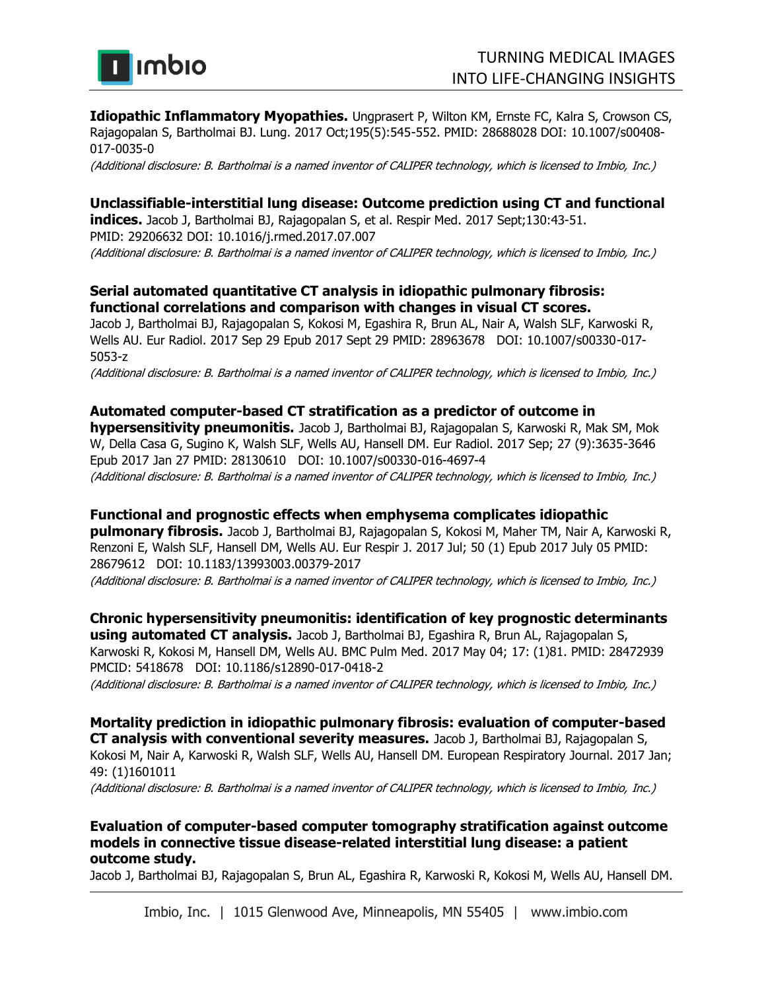

**Idiopathic Inflammatory Myopathies.** Ungprasert P, Wilton KM, Ernste FC, Kalra S, Crowson CS, Rajagopalan S, Bartholmai BJ. Lung. 2017 Oct;195(5):545-552. PMID: 28688028 DOI: 10.1007/s00408- 017-0035-0

(Additional disclosure: B. Bartholmai is a named inventor of CALIPER technology, which is licensed to Imbio, Inc.)

## **Unclassifiable-interstitial lung disease: Outcome prediction using CT and functional**

**indices.** Jacob J, Bartholmai BJ, Rajagopalan S, et al. Respir Med. 2017 Sept;130:43-51. PMID: 29206632 DOI: 10.1016/j.rmed.2017.07.007 (Additional disclosure: B. Bartholmai is a named inventor of CALIPER technology, which is licensed to Imbio, Inc.)

#### **Serial automated quantitative CT analysis in idiopathic pulmonary fibrosis: functional correlations and comparison with changes in visual CT scores.**

Jacob J, Bartholmai BJ, Rajagopalan S, Kokosi M, Egashira R, Brun AL, Nair A, Walsh SLF, Karwoski R, Wells AU. Eur Radiol. 2017 Sep 29 Epub 2017 Sept 29 PMID: 28963678 DOI: 10.1007/s00330-017- 5053-z

(Additional disclosure: B. Bartholmai is a named inventor of CALIPER technology, which is licensed to Imbio, Inc.)

#### **Automated computer-based CT stratification as a predictor of outcome in**

**hypersensitivity pneumonitis.** Jacob J, Bartholmai BJ, Rajagopalan S, Karwoski R, Mak SM, Mok W, Della Casa G, Sugino K, Walsh SLF, Wells AU, Hansell DM. Eur Radiol. 2017 Sep; 27 (9):3635-3646 Epub 2017 Jan 27 PMID: 28130610 DOI: 10.1007/s00330-016-4697-4 (Additional disclosure: B. Bartholmai is a named inventor of CALIPER technology, which is licensed to Imbio, Inc.)

#### **Functional and prognostic effects when emphysema complicates idiopathic**

**pulmonary fibrosis.** Jacob J, Bartholmai BJ, Rajagopalan S, Kokosi M, Maher TM, Nair A, Karwoski R, Renzoni E, Walsh SLF, Hansell DM, Wells AU. Eur Respir J. 2017 Jul; 50 (1) Epub 2017 July 05 PMID: 28679612 DOI: 10.1183/13993003.00379-2017 (Additional disclosure: B. Bartholmai is a named inventor of CALIPER technology, which is licensed to Imbio, Inc.)

#### **Chronic hypersensitivity pneumonitis: identification of key prognostic determinants**

**using automated CT analysis.** Jacob J, Bartholmai BJ, Egashira R, Brun AL, Rajagopalan S, Karwoski R, Kokosi M, Hansell DM, Wells AU. BMC Pulm Med. 2017 May 04; 17: (1)81. PMID: 28472939 PMCID: 5418678 DOI: 10.1186/s12890-017-0418-2

(Additional disclosure: B. Bartholmai is a named inventor of CALIPER technology, which is licensed to Imbio, Inc.)

**Mortality prediction in idiopathic pulmonary fibrosis: evaluation of computer-based CT analysis with conventional severity measures.** Jacob J, Bartholmai BJ, Rajagopalan S, Kokosi M, Nair A, Karwoski R, Walsh SLF, Wells AU, Hansell DM. European Respiratory Journal. 2017 Jan;

49: (1)1601011

(Additional disclosure: B. Bartholmai is a named inventor of CALIPER technology, which is licensed to Imbio, Inc.)

#### **Evaluation of computer-based computer tomography stratification against outcome models in connective tissue disease-related interstitial lung disease: a patient outcome study.**

Jacob J, Bartholmai BJ, Rajagopalan S, Brun AL, Egashira R, Karwoski R, Kokosi M, Wells AU, Hansell DM.